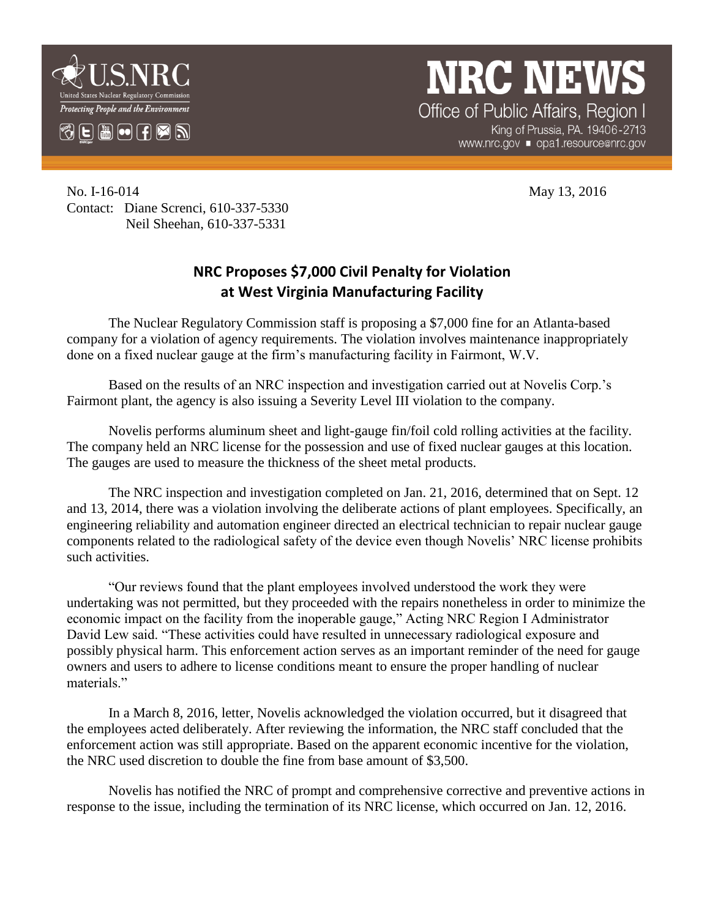

## **NRC NEWS** Office of Public Affairs, Region I

King of Prussia, PA. 19406-2713 www.nrc.gov ■ opa1.resource@nrc.gov

No. I-16-014 May 13, 2016 Contact: Diane Screnci, 610-337-5330 Neil Sheehan, 610-337-5331

## **NRC Proposes \$7,000 Civil Penalty for Violation at West Virginia Manufacturing Facility**

The Nuclear Regulatory Commission staff is proposing a \$7,000 fine for an Atlanta-based company for a violation of agency requirements. The violation involves maintenance inappropriately done on a fixed nuclear gauge at the firm's manufacturing facility in Fairmont, W.V.

Based on the results of an NRC inspection and investigation carried out at Novelis Corp.'s Fairmont plant, the agency is also issuing a Severity Level III violation to the company.

Novelis performs aluminum sheet and light-gauge fin/foil cold rolling activities at the facility. The company held an NRC license for the possession and use of fixed nuclear gauges at this location. The gauges are used to measure the thickness of the sheet metal products.

The NRC inspection and investigation completed on Jan. 21, 2016, determined that on Sept. 12 and 13, 2014, there was a violation involving the deliberate actions of plant employees. Specifically, an engineering reliability and automation engineer directed an electrical technician to repair nuclear gauge components related to the radiological safety of the device even though Novelis' NRC license prohibits such activities.

"Our reviews found that the plant employees involved understood the work they were undertaking was not permitted, but they proceeded with the repairs nonetheless in order to minimize the economic impact on the facility from the inoperable gauge," Acting NRC Region I Administrator David Lew said. "These activities could have resulted in unnecessary radiological exposure and possibly physical harm. This enforcement action serves as an important reminder of the need for gauge owners and users to adhere to license conditions meant to ensure the proper handling of nuclear materials."

In a March 8, 2016, letter, Novelis acknowledged the violation occurred, but it disagreed that the employees acted deliberately. After reviewing the information, the NRC staff concluded that the enforcement action was still appropriate. Based on the apparent economic incentive for the violation, the NRC used discretion to double the fine from base amount of \$3,500.

Novelis has notified the NRC of prompt and comprehensive corrective and preventive actions in response to the issue, including the termination of its NRC license, which occurred on Jan. 12, 2016.